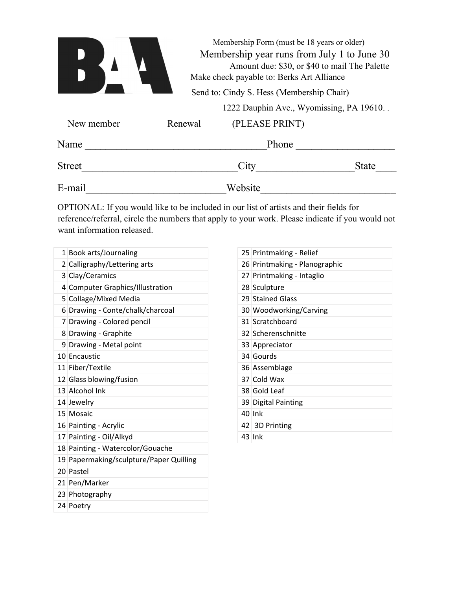|               |                                           | Membership Form (must be 18 years or older)<br>Membership year runs from July 1 to June 30<br>Amount due: \$30, or \$40 to mail The Palette<br>Make check payable to: Berks Art Alliance |                                          |  |  |
|---------------|-------------------------------------------|------------------------------------------------------------------------------------------------------------------------------------------------------------------------------------------|------------------------------------------|--|--|
|               | Send to: Cindy S. Hess (Membership Chair) |                                                                                                                                                                                          |                                          |  |  |
|               |                                           |                                                                                                                                                                                          | 1222 Dauphin Ave., Wyomissing, PA 19610. |  |  |
| New member    | Renewal                                   | (PLEASE PRINT)                                                                                                                                                                           |                                          |  |  |
| Name          |                                           | Phone                                                                                                                                                                                    |                                          |  |  |
| <b>Street</b> |                                           | City                                                                                                                                                                                     | <b>State</b>                             |  |  |
| E-mail        |                                           | Website                                                                                                                                                                                  |                                          |  |  |

OPTIONAL: If you would like to be included in our list of artists and their fields for reference/referral, circle the numbers that apply to your work. Please indicate if you would not want information released.

| 1 Book arts/Journaling<br>2 Calligraphy/Lettering arts |  |
|--------------------------------------------------------|--|
|                                                        |  |
|                                                        |  |
| 3 Clay/Ceramics                                        |  |
| 4 Computer Graphics/Illustration                       |  |
| 5 Collage/Mixed Media                                  |  |
| 6 Drawing - Conte/chalk/charcoal                       |  |
| 7 Drawing - Colored pencil                             |  |
| 8 Drawing - Graphite                                   |  |
| 9 Drawing - Metal point                                |  |
| 10 Encaustic                                           |  |
| 11 Fiber/Textile                                       |  |
| 12 Glass blowing/fusion                                |  |
| 13 Alcohol Ink                                         |  |
| 14 Jewelry                                             |  |
| 15 Mosaic                                              |  |
| 16 Painting - Acrylic                                  |  |
| 17 Painting - Oil/Alkyd                                |  |
| 18 Painting - Watercolor/Gouache                       |  |
| 19 Papermaking/sculpture/Paper Quilling                |  |
| 20 Pastel                                              |  |
| 21 Pen/Marker                                          |  |
| 23 Photography                                         |  |
| 24 Poetry                                              |  |

| 25 Printmaking - Relief       |
|-------------------------------|
| 26 Printmaking - Planographic |
| 27 Printmaking - Intaglio     |
| 28 Sculpture                  |
| 29 Stained Glass              |
| 30 Woodworking/Carving        |
| 31 Scratchboard               |
| 32 Scherenschnitte            |
| 33 Appreciator                |
| 34 Gourds                     |
| 36 Assemblage                 |
| 37 Cold Wax                   |
| 38 Gold Leaf                  |
| 39 Digital Painting           |
| $40$ lnk                      |
| 42 3D Printing                |
| $43$ lnk                      |
|                               |